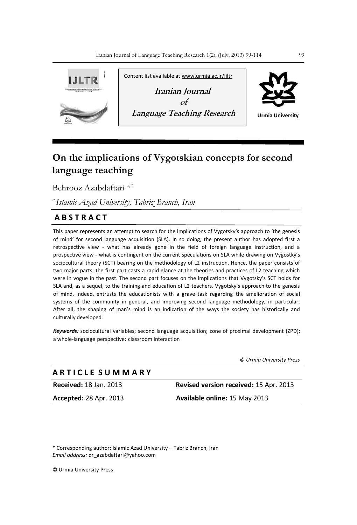

# **On the implications of Vygotskian concepts for second language teaching**

Behrooz Azabdaftari<sup>a,\*</sup>

*<sup>a</sup>Islamic Azad University, Tabriz Branch, Iran* 

## **A B S T R A C T**

This paper represents an attempt to search for the implications of Vygotsky's approach to 'the genesis of mind' for second language acquisition (SLA). In so doing, the present author has adopted first a retrospective view - what has already gone in the field of foreign language instruction, and a prospective view - what is contingent on the current speculations on SLA while drawing on Vygostky's sociocultural theory (SCT) bearing on the methodology of L2 instruction. Hence, the paper consists of two major parts: the first part casts a rapid glance at the theories and practices of L2 teaching which were in vogue in the past. The second part focuses on the implications that Vygotsky's SCT holds for SLA and, as a sequel, to the training and education of L2 teachers. Vygotsky's approach to the genesis of mind, indeed, entrusts the educationists with a grave task regarding the amelioration of social systems of the community in general, and improving second language methodology, in particular. After all, the shaping of man's mind is an indication of the ways the society has historically and culturally developed*.*

*Keywords:* sociocultural variables; second language acquisition; zone of proximal development (ZPD); a whole-language perspective; classroom interaction

*© Urmia University Press*

| A R T I C L E S U M M A R Y   |                                        |
|-------------------------------|----------------------------------------|
| <b>Received: 18 Jan. 2013</b> | Revised version received: 15 Apr. 2013 |
| <b>Accepted: 28 Apr. 2013</b> | <b>Available online: 15 May 2013</b>   |

\* Corresponding author: Islamic Azad University – Tabriz Branch, Iran *Email address:* dr\_azabdaftari@yahoo.com

© Urmia University Press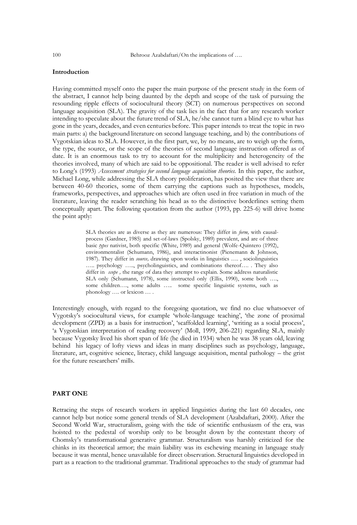#### **Introduction**

Having committed myself onto the paper the main purpose of the present study in the form of the abstract, I cannot help being daunted by the depth and scope of the task of pursuing the resounding ripple effects of sociocultural theory (SCT) on numerous perspectives on second language acquisition (SLA). The gravity of the task lies in the fact that for any research worker intending to speculate about the future trend of SLA, he/she cannot turn a blind eye to what has gone in the years, decades, and even centuries before. This paper intends to treat the topic in two main parts: a) the background literature on second language teaching, and b) the contributions of Vygotskian ideas to SLA. However, in the first part, we, by no means, are to weigh up the form, the type, the source, or the scope of the theories of second language instruction offered as of date. It is an enormous task to try to account for the multiplicity and heterogeneity of the theories involved, many of which are said to be oppositional. The reader is well advised to refer to Long"s (1993) *Assessment strategies for second language acquisition theories.* In this paper, the author, Michael Long, while addressing the SLA theory proliferation, has posited the view that there are between 40-60 theories, some of them carrying the captions such as hypotheses, models, frameworks, perspectives, and approaches which are often used in free variation in much of the literature, leaving the reader scratching his head as to the distinctive borderlines setting them conceptually apart. The following quotation from the author (1993, pp. 225-6) will drive home the point aptly:

> SLA theories are as diverse as they are numerous: They differ in *form,* with causalprocess (Gardner, 1985) and set-of-laws (Spolsky, 1989) prevalent, and are of three basic *types* nativist, both specific (White, 1989) and general (Wolfe-Quintero (1992), environmentalist (Schumann, 1986), and interactinonist (Pienemann & Johnson, 1987). They differ in *source,* drawing upon works in linguistics …. , sociolinguistics ….. psychology ….., psycholinguistics, and combinations thereof…. . They also differ in *scope ,* the range of data they attempt to explain. Some address naturalistic SLA only (Schumann, 1978), some instructed only (Ellis, 1990), some both …., some children…., some adults ….. some specific linguistic systems, such as phonology …. or lexicon … .

Interestingly enough, with regard to the foregoing quotation, we find no clue whatsoever of Vygotsky"s sociocultural views, for example "whole-language teaching", "the zone of proximal development (ZPD) as a basis for instruction', 'scaffolded learning', 'writing as a social process', 'a Vygotskian interpretation of reading recovery' (Moll, 1999, 206-221) regarding SLA, mainly because Vygotsky lived his short span of life (he died in 1934) when he was 38 years old, leaving behind his legacy of lofty views and ideas in many disciplines such as psychology, language, literature, art, cognitive science, literacy, child language acquisition, mental pathology – the grist for the future researchers' mills.

#### **PART ONE**

Retracing the steps of research workers in applied linguistics during the last 60 decades, one cannot help but notice some general trends of SLA development (Azabdaftari, 2000). After the Second World War, structuralism, going with the tide of scientific enthusiasm of the era, was hoisted to the pedestal of worship only to be brought down by the contestant theory of Chomsky"s transformational generative grammar. Structuralism was harshly criticized for the chinks in its theoretical armor; the main liability was its eschewing meaning in language study because it was mental, hence unavailable for direct observation. Structural linguistics developed in part as a reaction to the traditional grammar. Traditional approaches to the study of grammar had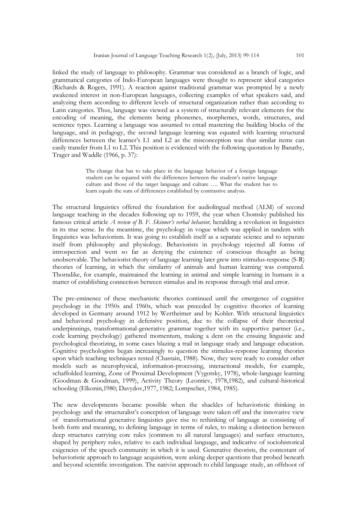linked the study of language to philosophy. Grammar was considered as a branch of logic, and grammatical categories of Indo-European languages were thought to represent ideal categories (Richards & Rogers, 1991). A reaction against traditional grammar was prompted by a newly awakened interest in non-European languages, collecting examples of what speakers said, and analyzing them according to different levels of structural organization rather than according to Latin categories. Thus, language was viewed as a system of structurally relevant elements for the encoding of meaning, the elements being phonemes, morphemes, words, structures, and sentence types. Learning a language was assumed to entail mastering the building blocks of the language, and in pedagogy, the second language learning was equated with learning structural differences between the learner"s L1 and L2 as the misconception was that similar items can easily transfer from L1 to L2. This position is evidenced with the following quotation by Banathy, Trager and Waddle (1966, p. 37):

> The change that has to take place in the language behavior of a foreign language student can be equated with the differences between the student's native language culture and those of the target language and culture …. What the student has to learn equals the sum of differences established by contrastive analysis.

The structural linguistics offered the foundation for audiolingual method (ALM) of second language teaching in the decades following up to 1959, the year when Chomsky published his famous critical article *A review of B. F. Skinner's verbal behavior,* heralding a revolution in linguistics in its true sense. In the meantime, the psychology in vogue which was applied in tandem with linguistics was behaviorism. It was going to establish itself as a separate science and to separate itself from philosophy and physiology. Behaviorists in psychology rejected all forms of introspection and went so far as denying the existence of conscious thought as being unobservable. The behaviorist theory of language learning later grew into stimulus-response (S-R) theories of learning, in which the similarity of animals and human learning was compared. Thorndike, for example, maintained the learning in animal and simple learning in humans is a matter of establishing connection between stimulus and its response through trial and error.

The pre-eminence of these mechanistic theories continued until the emergence of cognitive psychology in the 1950s and 1960s, which was preceded by cognitive theories of learning developed in Germany around 1912 by Wertheimer and by Kohler. With structural linguistics and behavioral psychology in defensive position, due to the collapse of their theoretical underpinnings, transformational-generative grammar together with its supportive partner (i.e., code learning psychology) gathered momentum, making a dent on the ensuing linguistic and psychological theorizing, in some cases blazing a trail in language study and language education. Cognitive psychologists began increasingly to question the stimulus-response learning theories upon which teaching techniques rested (Chastain, 1988). Now, they were ready to consider other models such as neurophysical, information-processing, interactional models, for example, schaffolded learning, Zone of Proximal Development (Vygotsky, 1978), whole-language learning (Goodman & Goodman, 1999), Activity Theory (Leontiev, 1978,1982), and cultural-historical schooling (Elkonin,1980; Davydov,1977, 1982; Lompscher, 1984, 1985).

The new developments became possible when the shackles of behavioristic thinking in psychology and the structuralist's conception of language were taken off and the innovative view of transformational generative linguistics gave rise to rethinking of language as consisting of both form and meaning, to defining language in terms of rules, to making a distinction between deep structures carrying core rules (common to all natural languages) and surface structures, shaped by periphery rules, relative to each individual language, and indicative of sociohistorical exigencies of the speech community in which it is used. Generative theorists, the contestant of behavioristic approach to language acquisition, were asking deeper questions that probed beneath and beyond scientific investigation. The nativist approach to child language study, an offshoot of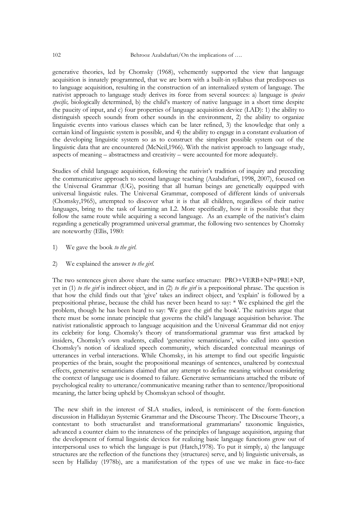generative theories, led by Chomsky (1968), vehemently supported the view that language acquisition is innately programmed, that we are born with a built-in syllabus that predisposes us to language acquisition, resulting in the construction of an internalized system of language. The nativist approach to language study derives its force from several sources: a) language is *species specific,* biologically determined, b) the child"s mastery of native language in a short time despite the paucity of input, and c) four properties of language acquisition device (LAD): 1) the ability to distinguish speech sounds from other sounds in the environment, 2) the ability to organize linguistic events into various classes which can be later refined, 3) the knowledge that only a certain kind of linguistic system is possible, and 4) the ability to engage in a constant evaluation of the developing linguistic system so as to construct the simplest possible system out of the linguistic data that are encountered (McNeil,1966). With the nativist approach to language study, aspects of meaning – abstractness and creativity – were accounted for more adequately.

Studies of child language acquisition, following the nativist"s tradition of inquiry and preceding the communicative approach to second language teaching (Azabdaftari, 1998, 2007), focused on the Universal Grammar (UG), positing that all human beings are genetically equipped with universal linguistic rules. The Universal Grammar, composed of different kinds of universals (Chomsky,1965), attempted to discover what it is that all children, regardless of their native languages, bring to the task of learning an L2. More specifically, how it is possible that they follow the same route while acquiring a second language. As an example of the nativist's claim regarding a genetically programmed universal grammar, the following two sentences by Chomsky are noteworthy (Ellis, 1980:

- 1) We gave the book *to the girl.*
- 2) We explained the answer *to the girl.*

The two sentences given above share the same surface structure: PRO+VERB+NP+PRE+NP, yet in (1) *to the girl* is indirect object, and in (2) *to the girl* is a prepositional phrase. The question is that how the child finds out that "give" takes an indirect object, and "explain" is followed by a prepositional phrase, because the child has never been heard to say: \* We explained the girl the problem, though he has been heard to say: "We gave the girl the book". The nativists argue that there must be some innate principle that governs the child"s language acquisition behavior. The nativist rationalistic approach to language acquisition and the Universal Grammar did not enjoy its celebrity for long. Chomsky's theory of transformational grammar was first attacked by insiders, Chomsky"s own students, called "generative semanticians", who called into question Chomsky"s notion of idealized speech community, which discarded contextual meanings of utterances in verbal interactions. While Chomsky, in his attempt to find out specific linguistic properties of the brain, sought the propositional meanings of sentences, unaltered by contextual effects, generative semanticians claimed that any attempt to define meaning without considering the context of language use is doomed to failure. Generative semanticians attached the tribute of psychological reality to utterance/communicative meaning rather than to sentence/lpropositional meaning, the latter being upheld by Chomskyan school of thought.

The new shift in the interest of SLA studies, indeed, is reminiscent of the form-function discussion in Hallidayan Systemic Grammar and the Discourse Theory. The Discourse Theory, a contestant to both structuralist and transformational grammarians' taxonomic linguistics, advanced a counter claim to the innateness of the principles of language acquisition, arguing that the development of formal linguistic devices for realizing basic language functions grow out of interpersonal uses to which the language is put (Hatch,1978). To put it simply, a) the language structures are the reflection of the functions they (structures) serve, and b) linguistic universals, as seen by Halliday (1978b), are a manifestation of the types of use we make in face-to-face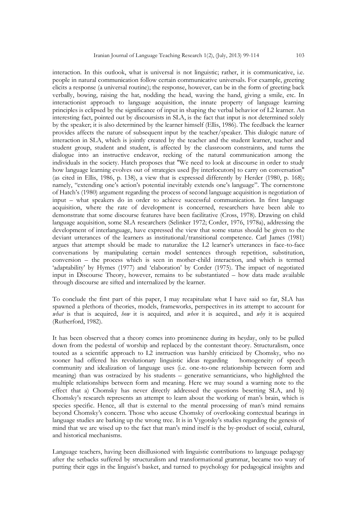interaction. In this outlook, what is universal is not linguistic; rather, it is communicative, i.e. people in natural communication follow certain communicative universals. For example, greeting elicits a response (a universal routine); the response, however, can be in the form of greeting back verbally, bowing, raising the hat, nodding the head, waving the hand, giving a smile, etc. In interactionist approach to language acquisition, the innate property of language learning principles is eclipsed by the significance of input in shaping the verbal behavior of L2 learner. An interesting fact, pointed out by discoursists in SLA, is the fact that input is not determined solely by the speaker; it is also determined by the learner himself (Ellis, 1986). The feedback the learner provides affects the nature of subsequent input by the teacher/speaker. This dialogic nature of interaction in SLA, which is jointly created by the teacher and the student learner, teacher and student group, student and student, is affected by the classroom constraints, and turns the dialogue into an instructive endeavor, reeking of the natural communication among the individuals in the society. Hatch proposes that "We need to look at discourse in order to study how language learning evolves out of strategies used [by interlocutors] to carry on conversation" (as cited in Ellis, 1986, p. 138), a view that is expressed differently by Herder (1980, p. 168); namely, "extending one's action's potential inevitably extends one's language". The cornerstone of Hatch"s (1980) argument regarding the process of second language acquisition is negotiation of input – what speakers do in order to achieve successful communication. In first language acquisition, where the rate of development is concerned, researchers have been able to demonstrate that some discourse features have been facilitative (Cross, 1978). Drawing on child language acquisition, some SLA researchers (Selinker 1972; Corder, 1976, 1978a), addressing the development of interlanguage, have expressed the view that some status should be given to the deviant utterances of the learners as institutional/transitional competence. Carl James (1981) argues that attempt should be made to naturalize the L2 learner"s utterances in face-to-face conversations by manipulating certain model sentences through repetition, substitution, conversion – the process which is seen in mother-child interaction, and which is termed 'adaptability' by Hymes (1977) and 'elaboration' by Corder (1975). The impact of negotiated input in Discourse Theory, however, remains to be substantiated – how data made available through discourse are sifted and internalized by the learner.

To conclude the first part of this paper, I may recapitulate what I have said so far, SLA has spawned a plethora of theories, models, frameworks, perspectives in its attempt to account for *what* is that is acquired, *how* it is acquired, and *when* it is acquired., and *why* it is acquired (Rutherford, 1982).

It has been observed that a theory comes into prominence during its heyday, only to be pulled down from the pedestal of worship and replaced by the contestant theory. Structuralism, once touted as a scientific approach to L2 instruction was harshly criticized by Chomsky, who no sooner had offered his revolutionary linguistic ideas regarding homogeneity of speech community and idealization of language uses (i.e. one-to-one relationship between form and meaning) than was ostracized by his students – generative semanticians, who highlighted the multiple relationships between form and meaning. Here we may sound a warning note to the effect that a) Chomsky has never directly addressed the questions besetting SLA, and b) Chomsky"s research represents an attempt to learn about the working of man"s brain, which is species specific. Hence, all that is external to the mental processing of man"s mind remains beyond Chomsky"s concern. Those who accuse Chomsky of overlooking contextual bearings in language studies are barking up the wrong tree. It is in Vygotsky"s studies regarding the genesis of mind that we are wised up to the fact that man"s mind itself is the by-product of social, cultural, and historical mechanisms.

Language teachers, having been disillusioned with linguistic contributions to language pedagogy after the setbacks suffered by structuralism and transformational grammar, became too wary of putting their eggs in the linguist"s basket, and turned to psychology for pedagogical insights and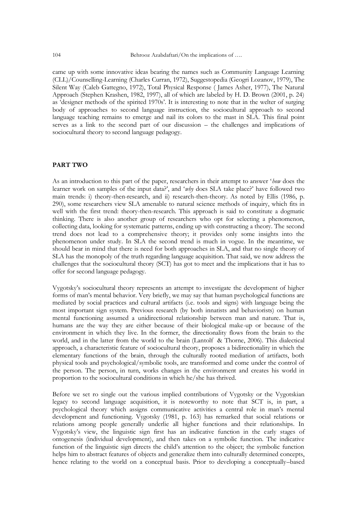came up with some innovative ideas bearing the names such as Community Language Learning (CLL)/Counselling-Learning (Charles Curran, 1972), Suggestopedia (Geogri Lozanov, 1979), The Silent Way (Caleb Gattegno, 1972), Total Physical Response ( James Asher, 1977), The Natural Approach (Stephen Krashen, 1982, 1997), all of which are labeled by H. D. Brown (2001, p. 24) as 'designer methods of the spirited 1970s'. It is interesting to note that in the welter of surging body of approaches to second language instruction, the sociocultural approach to second language teaching remains to emerge and nail its colors to the mast in SLA. This final point serves as a link to the second part of our discussion – the challenges and implications of sociocultural theory to second language pedagogy.

#### **PART TWO**

As an introduction to this part of the paper, researchers in their attempt to answer "*how* does the learner work on samples of the input data?', and 'why does SLA take place?' have followed two main trends: i) theory-then-research, and ii) research-then-theory. As noted by Ellis (1986, p. 290), some researchers view SLA amenable to natural science methods of inquiry, which fits in well with the first trend: theory-then-research. This approach is said to constitute a dogmatic thinking. There is also another group of researchers who opt for selecting a phenomenon, collecting data, looking for systematic patterns, ending up with constructing a theory. The second trend does not lead to a comprehensive theory; it provides only some insights into the phenomenon under study. In SLA the second trend is much in vogue. In the meantime, we should bear in mind that there is need for both approaches in SLA, and that no single theory of SLA has the monopoly of the truth regarding language acquisition. That said, we now address the challenges that the sociocultural theory (SCT) has got to meet and the implications that it has to offer for second language pedagogy.

Vygotsky"s sociocultural theory represents an attempt to investigate the development of higher forms of man"s mental behavior. Very briefly, we may say that human psychological functions are mediated by social practices and cultural artifacts (i.e. tools and signs) with language being the most important sign system. Previous research (by both innatists and behaviorists) on human mental functioning assumed a unidirectional relationship between man and nature. That is, humans are the way they are either because of their biological make-up or because of the environment in which they live. In the former, the directionality flows from the brain to the world, and in the latter from the world to the brain (Lantolf & Thorne, 2006). This dialectical approach, a characteristic feature of sociocultural theory, proposes a bidirectionality in which the elementary functions of the brain, through the culturally rooted mediation of artifacts, both physical tools and psychological/symbolic tools, are transformed and come under the control of the person. The person, in turn, works changes in the environment and creates his world in proportion to the sociocultural conditions in which he/she has thrived.

Before we set ro single out the various implied contributions of Vygotsky or the Vygotskian legacy to second language acquisition, it is noteworthy to note that SCT is, in part, a psychological theory which assigns communicative activities a central role in man"s mental development and functioning. Vygotsky (1981, p. 163) has remarked that social relations or relations among people generally underlie all higher functions and their relationships. In Vygotsky"s view, the linguistic sign first has an indicative function in the early stages of ontogenesis (individual development), and then takes on a symbolic function. The indicative function of the linguistic sign directs the child"s attention to the object; the symbolic function helps him to abstract features of objects and generalize them into culturally determined concepts, hence relating to the world on a conceptual basis. Prior to developing a conceptually–based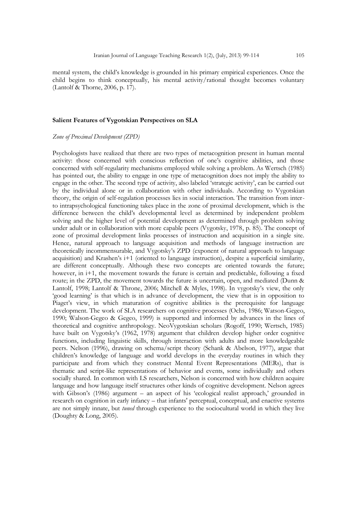mental system, the child"s knowledge is grounded in his primary empirical experiences. Once the child begins to think conceptually, his mental activity/rational thought becomes voluntary (Lantolf & Thorne, 2006, p. 17).

#### **Salient Features of Vygotskian Perspectives on SLA**

#### *Zone of Proximal Development (ZPD)*

Psychologists have realized that there are two types of metacognition present in human mental activity: those concerned with conscious reflection of one"s cognitive abilities, and those concerned with self-regularity mechanisms employed while solving a problem. As Wertsch (1985) has pointed out, the ability to engage in one type of metacognition does not imply the ability to engage in the other. The second type of activity, also labeled "strategic activity", can be carried out by the individual alone or in collaboration with other individuals. According to Vygotskian theory, the origin of self-regulation processes lies in social interaction. The transition from interto intrapsychological functioning takes place in the zone of proximal development, which is the difference between the child"s developmental level as determined by independent problem solving and the higher level of potential development as determined through problem solving under adult or in collaboration with more capable peers (Vygotsky, 1978, p. 85). The concept of zone of proximal development links processes of instruction and acquisition in a single site. Hence, natural approach to language acquisition and methods of language instruction are theoretically incommensurable, and Vygotsky"s ZPD (exponent of natural approach to language acquisition) and Krashen's i+1 (oriented to language instruction), despite a superficial similarity, are different conceptually. Although these two concepts are oriented towards the future; however, in i+1, the movement towards the future is certain and predictable, following a fixed route; in the ZPD, the movement towards the future is uncertain, open, and mediated (Dunn & Lantolf, 1998; Lantolf & Throne, 2006; Mitchell & Myles, 1998). In vygotsky's view, the only "good learning" is that which is in advance of development, the view that is in opposition to Piaget's view, in which maturation of cognitive abilities is the prerequisite for language development. The work of SLA researchers on cognitive processes (Ochs, 1986; Watson-Gegeo, 1990; Walson-Gegeo & Gegeo, 1999) is supported and informed by advances in the lines of theoretical and cognitive anthropology. NeoVygotskian scholars (Rogoff, 1990; Wertsch, 1985) have built on Vygotsky"s (1962, 1978) argument that children develop higher order cognitive functions, including linguistic skills, through interaction with adults and more knowledgeable peers. Nelson (1996), drawing on schema/script theory (Schank & Abelson, 1977), argue that children"s knowledge of language and world develops in the everyday routines in which they participate and from which they construct Mental Event Representations (MERs), that is thematic and script-like representations of behavior and events, some individually and others socially shared. In common with LS researchers, Nelson is concerned with how children acquire language and how language itself structures other kinds of cognitive development. Nelson agrees with Gibson's (1986) argument – an aspect of his 'ecological realist approach,' grounded in research on cognition in early infancy – that infants' perceptual, conceptual, and enactive systems are not simply innate, but *tuned* through experience to the sociocultural world in which they live (Doughty & Long, 2005).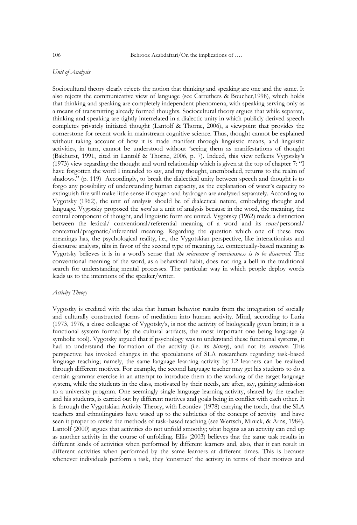#### *Unit of Analysis*

Sociocultural theory clearly rejects the notion that thinking and speaking are one and the same. It also rejects the communicative view of language (see Carruthers & Boucher,1998), which holds that thinking and speaking are completely independent phenomena, with speaking serving only as a means of transmitting already formed thoughts. Sociocultural theory argues that while separate, thinking and speaking are tightly interrelated in a dialectic unity in which publicly derived speech completes privately initiated thought (Lantolf & Thorne, 2006), a viewpoint that provides the cornerstone for recent work in mainstream cognitive science. Thus, thought cannot be explained without taking account of how it is made manifest through linguistic means, and linguistic activities, in turn, cannot be understood without "seeing them as manifestations of thought (Bakhurst, 1991, cited in Lantolf & Thorne, 2006, p. 7). Indeed, this view reflects Vygotsky"s (1973) view regarding the thought and word relationship which is given at the top of chapter 7: "I have forgotten the word I intended to say, and my thought, unembodied, returns to the realm of shadows." (p. 119) Accordingly, to break the dialectical unity between speech and thought is to forgo any possibility of understanding human capacity, as the explanation of water"s capacity to extinguish fire will make little sense if oxygen and hydrogen are analyzed separately. According to Vygotsky (1962), the unit of analysis should be of dialectical nature, embodying thought and language. Vygotsky proposed the *word* as a unit of analysis because in the word, the meaning, the central component of thought, and linguistic form are united. Vygotsky (1962) made a distinction between the lexical/ conventional/referential meaning of a word and its *sense*/personal/ contextual/pragmatic/inferential meaning. Regarding the question which one of these two meanings has, the psychological reality, i.e., the Vygotskian perspective, like interactionists and discourse analysts, tilts in favor of the second type of meaning, i.e. contextually-based meaning as Vygotsky believes it is in a word"s sense that *the microcosm of consciousness is to be discovered.* The conventional meaning of the word, as a behavioral habit, does not ring a bell in the traditional search for understanding mental processes. The particular way in which people deploy words leads us to the intentions of the speaker/writer.

### *Activity Theory*

Vygostky is credited with the idea that human behavior results from the integration of socially and culturally constructed forms of mediation into human activity. Mind, according to Luria (1973, 1976, a close colleague of Vygotsky"s, is not the activity of biologically given brain; it is a functional system formed by the cultural artifacts, the most important one being language (a symbolic tool). Vygotsky argued that if psychology was to understand these functional systems, it had to understand the formation of the activity (i.e. its *history*), and not its *structure*. This perspective has invoked changes in the speculations of SLA researchers regarding task-based language teaching; namely, the same language learning activity by L2 learners can be realized through different motives. For example, the second language teacher may get his students to do a certain grammar exercise in an attempt to introduce them to the working of the target language system, while the students in the class, motivated by their needs, are after, say, gaining admission to a university program. One seemingly single language learning activity, shared by the teacher and his students, is carried out by different motives and goals being in conflict with each other. It is through the Vygotskian Activity Theory, with Leontiev (1978) carrying the torch, that the SLA teachers and ethnolinguists have wised up to the subtleties of the concept of activity and have seen it proper to revise the methods of task-based teaching (see Wertsch, Minick, & Arns, 1984). Lantolf (2000) argues that activities do not unfold smoothy; what begins as an activity can end up as another activity in the course of unfolding. Ellis (2003) believes that the same task results in different kinds of activities when performed by different learners and, also, that it can result in different activities when performed by the same learners at different times. This is because whenever individuals perform a task, they 'construct' the activity in terms of their motives and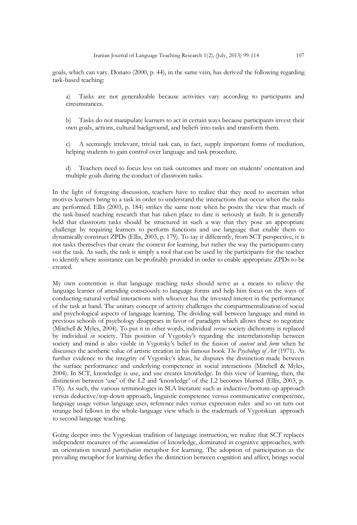goals, which can vary. Donato (2000, p. 44), in the same vein, has derived the following regarding task-based teaching:

a) Tasks are not generalizable because activities vary according to participants and circumstances.

b) Tasks do not manipulate learners to act in certain ways because participants invest their own goals, actions, cultural background, and beliefs into tasks and transform them.

c) A seemingly irrelevant, trivial task can, in fact, supply important forms of mediation, helping students to gain control over language and task procedure.

d) Teachers need to focus less on task outcomes and more on students" orientation and multiple goals during the conduct of classroom tasks.

In the light of foregoing discussion, teachers have to realize that they need to ascertain what motives learners bring to a task in order to understand the interactions that occur when the tasks are performed. Ellis (2003, p. 184) strikes the same note when he posits the view that much of the task-based teaching research that has taken place to date is seriously at fault. It is generally held that classroom tasks should be structured in such a way that they pose an appropriate challenge by requiring learners to perform functions and use language that enable them to dynamically construct ZPDs (Ellis, 2003, p. 179). To say it differently, from SCT perspective, it is not tasks themselves that create the context for learning, but rather the way the participants carry out the task. As such, the task is simply a tool that can be used by the participants for the teacher to identify where assistance can be profitably provided in order to enable appropriate ZPDs to be created.

My own contention is that language teaching tasks should serve as a means to relieve the language learner of attending consciously to language forms and help him focus on the ways of conducting natural verbal interactions with whoever has the invested interest in the performance of the task at hand. The unitary concept of activity challenges the compartmentalization of social and psychological aspects of language learning. The dividing wall between language and mind in previous schools of psychology disappears in favor of paradigm which allows these to negotiate (Mitchell & Myles, 2004). To put it in other words, individual *versus* society dichotomy is replaced by individual *in* society. This position of Vygotsky's regarding the interrelationship between society and mind is also visible in Vygotsky"s belief in the fusion of *content* and *form* when he discusses the aesthetic value of artistic creation in his famous book *The Psychology of Art* (1971). As further evidence to the integrity of Vygotsky"s ideas, he disputes the distinction made between the surface performance and underlying competence in social interactions (Mitchell & Myles, 2004). In SCT, knowledge is use, and use creates knowledge. In this view of learning, then, the distinction between "use" of the L2 and "knowledge" of the L2 becomes blurred (Ellis, 2003, p. 176). As such, the various terminologies in SLA literature such as inductive/bottom-up approach versus deductive/top-down approach, linguistic competence versus communicative competence, language usage versus language uses, reference rules versus expression rules and so on turn out strange bed fellows in the whole-language view which is the trademark of Vygotskian approach to second language teaching.

Going deeper into the Vygotskian tradition of language instruction, we realize that SCT replaces independent measures of the *accumulation* of knowledge, dominated in cognitive approaches, with an orientation toward *participation* metaphor for learning. The adoption of participation as the prevailing metaphor for learning defies the distinction between cognition and affect, brings social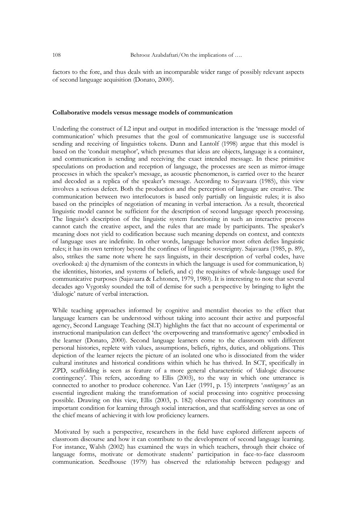factors to the fore, and thus deals with an incomparable wider range of possibly relevant aspects of second language acquisition (Donato, 2000).

#### **Collaborative models versus message models of communication**

Underling the construct of L2 input and output in modified interaction is the "message model of communication" which presumes that the goal of communicative language use is successful sending and receiving of linguistics tokens. Dunn and Lantolf (1998) argue that this model is based on the "conduit metaphor", which presumes that ideas are objects, language is a container, and communication is sending and receiving the exact intended message. In these primitive speculations on production and reception of language, the processes are seen as mirror-image processes in which the speaker"s message, as acoustic phenomenon, is carried over to the hearer and decoded as a replica of the speaker's message. According to Sayavaara (1985), this view involves a serious defect. Both the production and the perception of language are creative. The communication between two interlocutors is based only partially on linguistic rules; it is also based on the principles of negotiation of meaning in verbal interaction. As a result, theoretical linguistic model cannot be sufficient for the description of second language speech processing. The linguist's description of the linguistic system functioning in such an interactive process cannot catch the creative aspect, and the rules that are made by participants. The speaker's meaning does not yield to codification because such meaning depends on context, and contexts of language uses are indefinite. In other words, language behavior most often defies linguistic rules; it has its own territory beyond the confines of linguistic sovereignty. Sajavaara (1985, p. 89), also, strikes the same note where he says linguists, in their description of verbal codes, have overlooked: a) the dynamism of the contexts in which the language is used for communication, b) the identities, histories, and systems of beliefs, and c) the requisites of whole-language used for communicative purposes (Sajavaara & Lehtonen, 1979, 1980). It is interesting to note that several decades ago Vygotsky sounded the toll of demise for such a perspective by bringing to light the 'dialogic' nature of verbal interaction.

While teaching approaches informed by cognitive and mentalist theories to the effect that language learners can be understood without taking into account their active and purposeful agency, Second Language Teaching (SLT) highlights the fact that no account of experimental or instructional manipulation can deflect "the overpowering and transformative agency" embodied in the learner (Donato, 2000). Second language learners come to the classroom with different personal histories, replete with values, assumptions, beliefs, rights, duties, and obligations. This depiction of the learner rejects the picture of an isolated one who is dissociated from the wider cultural institutes and historical conditions within which he has thrived. In SCT, specifically in ZPD, scaffolding is seen as feature of a more general characteristic of "dialogic discourse contingency". This refers, according to Ellis (2003), to the way in which one utterance is connected to another to produce coherence. Van Lier (1991, p. 15) interprets "*contingency'* as an essential ingredient making the transformation of social processing into cognitive processing possible. Drawing on this view, Ellis (2003, p. 182) observes that contingency constitutes an important condition for learning through social interaction, and that scaffolding serves as one of the chief means of achieving it with low proficiency learners.

Motivated by such a perspective, researchers in the field have explored different aspects of classroom discourse and how it can contribute to the development of second language learning. For instance, Walsh (2002) has examined the ways in which teachers, through their choice of language forms, motivate or demotivate students" participation in face-to-face classroom communication. Seedhouse (1979) has observed the relationship between pedagogy and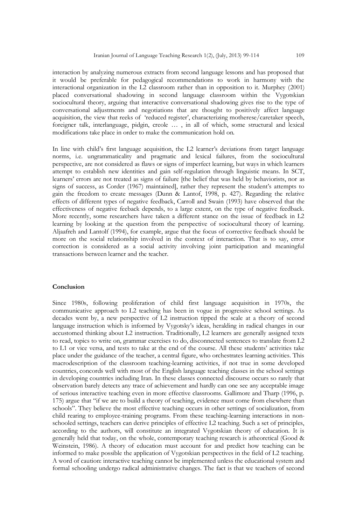interaction by analyzing numerous extracts from second language lessons and has proposed that it would be preferable for pedagogical recommendations to work in harmony with the interactional organization in the L2 classroom rather than in opposition to it. Murphey (2001) placed conversational shadowing in second language classroom within the Vygotskian sociocultural theory, arguing that interactive conversational shadowing gives rise to the type of conversational adjustments and negotiations that are thought to positively affect language acquisition, the view that reeks of "reduced register", characterizing motherese/caretaker speech, foreigner talk, interlanguage, pidgin, creole … , in all of which, some structural and lexical modifications take place in order to make the communication hold on.

In line with child's first language acquisition, the L2 learner's deviations from target language norms, i.e. ungrammaticality and pragmatic and lexical failures, from the sociocultural perspective, are not considered as flaws or signs of imperfect learning, but ways in which learners attempt to establish new identities and gain self-regulation through linguistic means. In SCT, learners" errors are not treated as signs of failure [the belief that was held by behaviorists, nor as signs of success, as Corder (1967) maintained], rather they represent the student's attempts to gain the freedom to create messages (Dunn & Lantof, 1998, p. 427). Regarding the relative effects of different types of negative feedback, Carroll and Swain (1993) have observed that the effectiveness of negative feeback depends, to a large extent, on the type of negative feedback. More recently, some researchers have taken a different stance on the issue of feedback in L2 learning by looking at the question from the perspective of sociocultural theory of learning. Aljaafreh and Lantolf (1994), for example, argue that the focus of corrective feedback should be more on the social relationship involved in the context of interaction. That is to say, error correction is considered as a social activity involving joint participation and meaningful transactions between learner and the teacher.

#### **Conclusion**

Since 1980s, following proliferation of child first language acquisition in 1970s, the communicative approach to L2 teaching has been in vogue in progressive school settings. As decades went by, a new perspective of L2 instruction tipped the scale at a theory of second language instruction which is informed by Vygotsky"s ideas, heralding in radical changes in our accustomed thinking about L2 instruction. Traditionally, L2 learners are generally assigned texts to read, topics to write on, grammar exercises to do, disconnected sentences to translate from L2 to L1 or vice versa, and tests to take at the end of the course. All these students" activities take place under the guidance of the teacher, a central figure, who orchestrates learning activities. This macrodescription of the classroom teaching-learning activities, if not true in some developed countries, concords well with most of the English language teaching classes in the school settings in developing countries including Iran. In these classes connected discourse occurs so rarely that observation barely detects any trace of achievement and hardly can one see any acceptable image of serious interactive teaching even in more effective classrooms. Gallimore and Tharp (1996, p. 175) argue that "if we are to build a theory of teaching, evidence must come from elsewhere than schools". They believe the most effective teaching occurs in other settings of socialization, from child rearing to employee-training programs. From these teaching-learning interactions in nonschooled settings, teachers can derive principles of effective L2 teaching. Such a set of principles, according to the authors, will constitute an integrated Vygotskian theory of education. It is generally held that today, on the whole, contemporary teaching research is atheoretical (Good & Weinstein, 1986). A theory of education must account for and predict how teaching can be informed to make possible the application of Vygotskian perspectives in the field of L2 teaching. A word of caution: interactive teaching cannot be implemented unless the educational system and formal schooling undergo radical administrative changes. The fact is that we teachers of second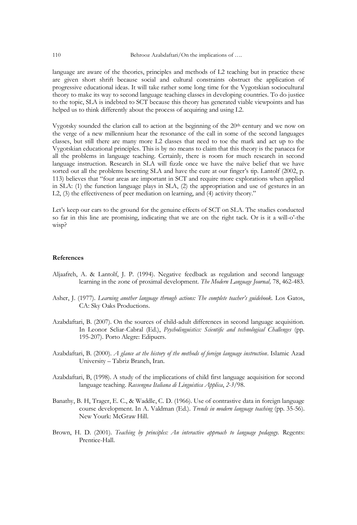language are aware of the theories, principles and methods of L2 teaching but in practice these are given short shrift because social and cultural constraints obstruct the application of progressive educational ideas. It will take rather some long time for the Vygotskian sociocultural theory to make its way to second language teaching classes in developing countries. To do justice to the topic, SLA is indebted to SCT because this theory has generated viable viewpoints and has helped us to think differently about the process of acquiring and using L2.

Vygotsky sounded the clarion call to action at the beginning of the  $20<sup>th</sup>$  century and we now on the verge of a new millennium hear the resonance of the call in some of the second languages classes, but still there are many more L2 classes that need to toe the mark and act up to the Vygotskian educational principles. This is by no means to claim that this theory is the panacea for all the problems in language teaching. Certainly, there is room for much research in second language instruction. Research in SLA will fizzle once we have the naïve belief that we have sorted out all the problems besetting SLA and have the cure at our finger's tip. Lantolf (2002, p. 113) believes that "four areas are important in SCT and require more explorations when applied in SLA: (1) the function language plays in SLA, (2) the appropriation and use of gestures in an L2, (3) the effectiveness of peer mediation on learning, and (4) activity theory."

Let's keep our ears to the ground for the genuine effects of SCT on SLA. The studies conducted so far in this line are promising, indicating that we are on the right tack. Or is it a will-o"-the wisp?

#### **References**

- Aljaafreh, A. & Lantolf, J. P. (1994). Negative feedback as regulation and second language learning in the zone of proximal development. *The Modern Language Journal,* 78, 462-483.
- Asher, J. (1977). *Learning another language through actions: The complete teacher's guidebook.* Los Gatos, CA: Sky Oaks Productions.
- Azabdaftari, B. (2007). On the sources of child-adult differences in second language acquisition. In Leonor Scliar-Cabral (Ed.), *Psycholinguistics: Scientific and technological Challenges* (pp. 195-207). Porto Alegre: Edipucrs.
- Azabdaftari, B. (2000). *A glance at the history of the methods of foreign language instruction*. Islamic Azad University – Tabriz Branch, Iran.
- Azabdaftari, B, (1998). A study of the impliccations of child first language acquisition for second language teaching. *Rassengna Italiana di Linguistica Applica*, *2-3*/98.
- Banathy, B. H, Trager, E. C., & Waddle, C. D. (1966). Use of contrastive data in foreign language course development. In A. Valdman (Ed.). *Trends in modern language teaching* (pp. 35-56). New Yourk: McGraw Hill.
- Brown, H. D. (2001). *Teaching by principles: An interactive approach to language pedagogy*. Regents: Prentice-Hall.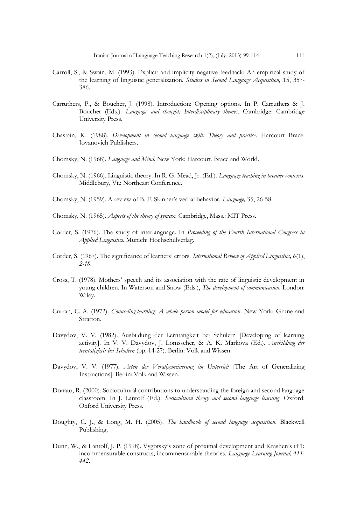- Carroll, S., & Swain, M. (1993). Explicit and implicity negative feednack: An empirical study of the learning of linguistic generalization. *Studies in Second Language Acquisition,* 15, 357- 386.
- Carruthers, P., & Boucher, J. (1998). Introduction: Opening options. In P. Carruthers & J. Boucher (Eds.). *Language and thought; Interdisciplinary themes*. Cambridge: Cambridge University Press.
- Chastain, K. (1988). *Development in second language skill: Theory and practice*. Harcourt Brace: Jovanovich Publishers.
- Chomsky, N. (1968). *Language and Mind*. New York: Harcourt, Brace and World.
- Chomsky, N. (1966). Linguistic theory. In R. G. Mead, Jr. (Ed.). *Language teaching in broader contexts*. Middlebury, Vt.: Northeast Conference.
- Chomsky, N. (1959). A review of B. F. Skinner"s verbal behavior. *Language,* 35, 26-58.
- Chomsky, N. (1965). *Aspects of the theory of syntax*. Cambridge, Mass.: MIT Press.
- Corder, S. (1976). The study of interlanguage. In *Proceeding of the Fourth International Congress in Applied Linguistics.* Munich: Hochschulverlag.
- Corder, S. (1967). The significance of learners" errors. *International Review of Applied Linguistics, 6*(1), *2-18.*
- Cross, T. (1978). Mothers" speech and its association with the rate of linguistic development in young children. In Waterson and Snow (Eds.), *The development of communication*. London: Wiley.
- Curran, C. A. (1972). *Counseling-learning: A whole person model for education*. New York: Grune and Stratton.
- Davydov, V. V. (1982). Ausbildung der Lerntatigkeit bei Schulern [Developing of learning activity]. In V. V. Davydov, J. Lomsscher, & A. K. Markova (Ed.). *Ausbildung der terntatigkeit bei Schulern* (pp. 14-27). Berlin: Volk and Wissen.
- Davydov, V. V. (1977). *Arten der Verallgemeinerung im Unterricjt* [The Art of Generalizing Instructions]. Berlin: Volk and Wissen.
- Donato, R. (2000). Sociocultural contributions to understanding the foreign and second language classroom. In J. Lantolf (Ed.). *Sociocultural theory and second language learning*. Oxford: Oxford University Press.
- Doughty, C. J., & Long, M. H. (2005). *The handbook of second language acquisition*. Blackwell Publishing.
- Dunn, W., & Lantolf, J. P. (1998). Vygotsky's zone of proximal development and Krashen's i+1: incommensurable constructs, incommensurable theories. *Language Learning Journal, 411- 442.*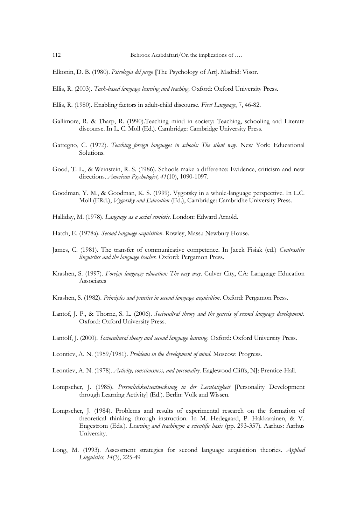Elkonin, D. B. (1980). *Psicologia del juego* **[**The Psychology of Art]. Madrid: Visor.

- Ellis, R. (2003). *Task-based language learning and teaching*. Oxford: Oxford University Press.
- Ellis, R. (1980). Enabling factors in adult-child discourse. *First Language*, 7, 46-82.
- Gallimore, R. & Tharp, R. (1990).Teaching mind in society: Teaching, schooling and Literate discourse. In L. C. Moll (Ed.). Cambridge: Cambridge University Press.
- Gattegno, C. (1972). *Teaching foreign languages in schools: The silent way*. New York: Educational Solutions.
- Good, T. L., & Weinstein, R. S. (1986). Schools make a difference: Evidence, criticism and new directions. *American Psychologist, 41*(10), 1090-1097.
- Goodman, Y. M., & Goodman, K. S. (1999). Vygotsky in a whole-language perspective. In L.C. Moll (ERd.), *Vygotsky and Education* (Ed.), Cambridge: Cambridhe University Press.
- Halliday, M. (1978). *Language as a social semiotic*. London: Edward Arnold.
- Hatch, E. (1978a). *Second language acquisition*. Rowley, Mass.: Newbury House.
- James, C. (1981). The transfer of communicative competence. In Jacek Fisiak (ed.) *Contrastive linguistics and the language teacher.* Oxford: Pergamon Press.
- Krashen, S. (1997). *Foreign language education: The easy way*. Culver City, CA: Language Education Associates
- Krashen, S. (1982). *Principles and practice in second language acquisition*. Oxford: Pergamon Press.
- Lantof, J. P., & Thorne, S. L. (2006). *Sociocultral theory and the genesis of second language development*. Oxford: Oxford University Press.
- Lantolf, J. (2000). *Sociocultural theory and second language learning*. Oxford: Oxford University Press.
- Leontiev, A. N. (1959/1981). *Problems in the development of mind*. Moscow: Progress.
- Leontiev, A. N. (1978). *Activity, consciousness, and personality*. Eaglewood Cliffs, NJ: Prentice-Hall.
- Lompscher, J. (1985). *Personlichkeitsentwickiung in der Lerntatigkeit* [Personality Development through Learning Activity] (Ed.). Berlin: Volk and Wissen.
- Lompscher, J. (1984). Problems and results of experimental research on the formation of theoretical thinking through instruction. In M. Hedegaard, P. Hakkarainen, & V. Engestrom (Eds.). *Learning and teachingon a scientific basis* (pp. 293-357). Aarhus: Aarhus University.
- Long, M. (1993). Assessment strategies for second language acquisition theories. *Applied Linguistics, 14*(3), 225-49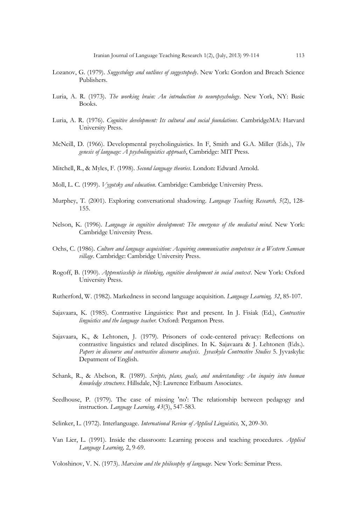- Lozanov, G. (1979). *Suggestology and outlines of suggestopedy*. New York: Gordon and Breach Science Publishers.
- Luria, A. R. (1973). *The working brain: An introduction to neuropsychology*. New York, NY: Basic Books.
- Luria, A. R. (1976). *Cognitive development: Its cultural and social foundations*. CambridgeMA: Harvard University Press.
- McNeill, D. (1966). Developmental psycholinguistics. In F, Smith and G.A. Miller (Eds.), *The genesis of language: A psycholinguistics approach*, Cambridge: MIT Press.
- Mitchell, R., & Myles, F. (1998). *Second language theories*. London: Edward Arnold.
- Moll, L. C. (1999). *Vygotsky and education*. Cambridge: Cambridge University Press.
- Murphey, T. (2001). Exploring conversational shadowing. *Language Teaching Research, 5*(2), 128- 155.
- Nelson, K. (1996). *Language in cognitive development: The emergence of the mediated mind*. New York: Cambridge University Press.
- Ochs, C. (1986). *Culture and language acquisition: Acquiring communicative competence in a Western Samoan village*. Cambridge: Cambridge University Press.
- Rogoff, B. (1990). *Apprenticeship in thinking, cognitive development in social context*. New York: Oxford University Press.
- Rutherford, W. (1982). Markedness in second language acquisition. *Language Learning, 32*, 85-107.
- Sajavaara, K. (1985). Contrastive Linguistics: Past and present. In J. Fisiak (Ed.), *Contrastive linguistics and the language teacher.* Oxford: Pergamon Press.
- Sajavaara, K., & Lehtonen, J. (1979). Prisoners of code-centered privacy: Reflections on contrastive linguistics and related disciplines. In K. Sajavaara & J. Lehtonen (Eds.). *Papers in discourse and contrastive discourse analysis*. *Jyvaskyla Contrustive Studies* 5. Jyvaskyla: Depatment of English.
- Schank, R., & Abelson, R. (1989). *Scripts, plans, goals, and understanding: An inquiry into human knowledge structures*. Hillsdale, NJ: Lawrence Erlbaum Associates.
- Seedhouse, P. (1979). The case of missing 'no': The relationship between pedagogy and instruction. *Language Learning, 43*(3), 547-583.
- Selinker, L. (1972). Interlanguage. *International Review of Applied Linguistics,* X, 209-30.
- Van Lier, L. (1991). Inside the classroom: Learning process and teaching procedures. *Applied Language Learning,* 2, 9-69.

Voloshinov, V. N. (1973). *Marxism and the philosophy of language*. New York: Seminar Press.